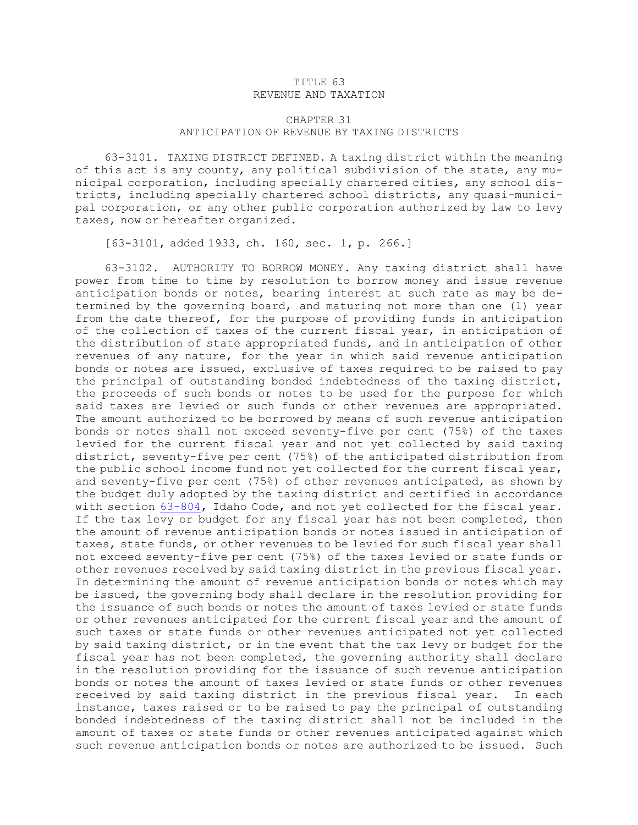## TITLE 63 REVENUE AND TAXATION

## CHAPTER 31 ANTICIPATION OF REVENUE BY TAXING DISTRICTS

63-3101. TAXING DISTRICT DEFINED. <sup>A</sup> taxing district within the meaning of this act is any county, any political subdivision of the state, any municipal corporation, including specially chartered cities, any school districts, including specially chartered school districts, any quasi-municipal corporation, or any other public corporation authorized by law to levy taxes, now or hereafter organized.

[63-3101, added 1933, ch. 160, sec. 1, p. 266.]

63-3102. AUTHORITY TO BORROW MONEY. Any taxing district shall have power from time to time by resolution to borrow money and issue revenue anticipation bonds or notes, bearing interest at such rate as may be determined by the governing board, and maturing not more than one (1) year from the date thereof, for the purpose of providing funds in anticipation of the collection of taxes of the current fiscal year, in anticipation of the distribution of state appropriated funds, and in anticipation of other revenues of any nature, for the year in which said revenue anticipation bonds or notes are issued, exclusive of taxes required to be raised to pay the principal of outstanding bonded indebtedness of the taxing district, the proceeds of such bonds or notes to be used for the purpose for which said taxes are levied or such funds or other revenues are appropriated. The amount authorized to be borrowed by means of such revenue anticipation bonds or notes shall not exceed seventy-five per cent (75%) of the taxes levied for the current fiscal year and not yet collected by said taxing district, seventy-five per cent (75%) of the anticipated distribution from the public school income fund not yet collected for the current fiscal year, and seventy-five per cent (75%) of other revenues anticipated, as shown by the budget duly adopted by the taxing district and certified in accordance with section [63-804](https://legislature.idaho.gov/statutesrules/idstat/Title63/T63CH8/SECT63-804), Idaho Code, and not yet collected for the fiscal year. If the tax levy or budget for any fiscal year has not been completed, then the amount of revenue anticipation bonds or notes issued in anticipation of taxes, state funds, or other revenues to be levied for such fiscal year shall not exceed seventy-five per cent (75%) of the taxes levied or state funds or other revenues received by said taxing district in the previous fiscal year. In determining the amount of revenue anticipation bonds or notes which may be issued, the governing body shall declare in the resolution providing for the issuance of such bonds or notes the amount of taxes levied or state funds or other revenues anticipated for the current fiscal year and the amount of such taxes or state funds or other revenues anticipated not yet collected by said taxing district, or in the event that the tax levy or budget for the fiscal year has not been completed, the governing authority shall declare in the resolution providing for the issuance of such revenue anticipation bonds or notes the amount of taxes levied or state funds or other revenues received by said taxing district in the previous fiscal year. In each instance, taxes raised or to be raised to pay the principal of outstanding bonded indebtedness of the taxing district shall not be included in the amount of taxes or state funds or other revenues anticipated against which such revenue anticipation bonds or notes are authorized to be issued. Such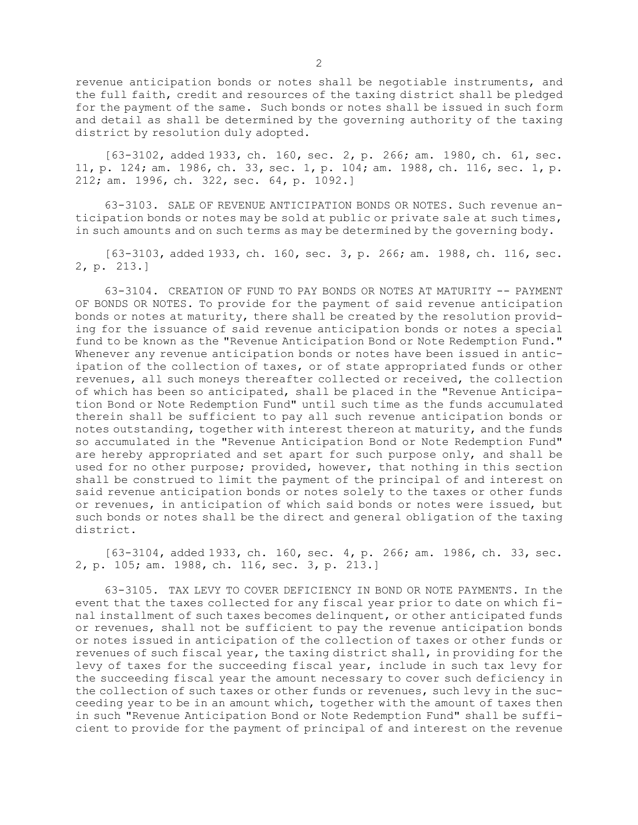revenue anticipation bonds or notes shall be negotiable instruments, and the full faith, credit and resources of the taxing district shall be pledged for the payment of the same. Such bonds or notes shall be issued in such form and detail as shall be determined by the governing authority of the taxing district by resolution duly adopted.

[63-3102, added 1933, ch. 160, sec. 2, p. 266; am. 1980, ch. 61, sec. 11, p. 124; am. 1986, ch. 33, sec. 1, p. 104; am. 1988, ch. 116, sec. 1, p. 212; am. 1996, ch. 322, sec. 64, p. 1092.]

63-3103. SALE OF REVENUE ANTICIPATION BONDS OR NOTES. Such revenue anticipation bonds or notes may be sold at public or private sale at such times, in such amounts and on such terms as may be determined by the governing body.

[63-3103, added 1933, ch. 160, sec. 3, p. 266; am. 1988, ch. 116, sec. 2, p. 213.]

63-3104. CREATION OF FUND TO PAY BONDS OR NOTES AT MATURITY -- PAYMENT OF BONDS OR NOTES. To provide for the payment of said revenue anticipation bonds or notes at maturity, there shall be created by the resolution providing for the issuance of said revenue anticipation bonds or notes <sup>a</sup> special fund to be known as the "Revenue Anticipation Bond or Note Redemption Fund." Whenever any revenue anticipation bonds or notes have been issued in anticipation of the collection of taxes, or of state appropriated funds or other revenues, all such moneys thereafter collected or received, the collection of which has been so anticipated, shall be placed in the "Revenue Anticipation Bond or Note Redemption Fund" until such time as the funds accumulated therein shall be sufficient to pay all such revenue anticipation bonds or notes outstanding, together with interest thereon at maturity, and the funds so accumulated in the "Revenue Anticipation Bond or Note Redemption Fund" are hereby appropriated and set apart for such purpose only, and shall be used for no other purpose; provided, however, that nothing in this section shall be construed to limit the payment of the principal of and interest on said revenue anticipation bonds or notes solely to the taxes or other funds or revenues, in anticipation of which said bonds or notes were issued, but such bonds or notes shall be the direct and general obligation of the taxing district.

[63-3104, added 1933, ch. 160, sec. 4, p. 266; am. 1986, ch. 33, sec. 2, p. 105; am. 1988, ch. 116, sec. 3, p. 213.]

63-3105. TAX LEVY TO COVER DEFICIENCY IN BOND OR NOTE PAYMENTS. In the event that the taxes collected for any fiscal year prior to date on which final installment of such taxes becomes delinquent, or other anticipated funds or revenues, shall not be sufficient to pay the revenue anticipation bonds or notes issued in anticipation of the collection of taxes or other funds or revenues of such fiscal year, the taxing district shall, in providing for the levy of taxes for the succeeding fiscal year, include in such tax levy for the succeeding fiscal year the amount necessary to cover such deficiency in the collection of such taxes or other funds or revenues, such levy in the succeeding year to be in an amount which, together with the amount of taxes then in such "Revenue Anticipation Bond or Note Redemption Fund" shall be sufficient to provide for the payment of principal of and interest on the revenue